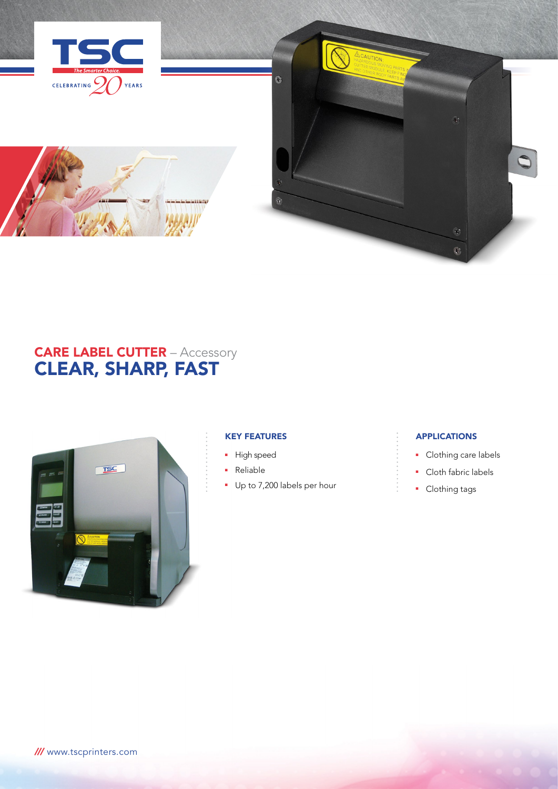



# **CARE LABEL CUTTER** – Accessory CLEAR, SHARP, FAST



# KEY FEATURES

- **High speed**
- **Reliable**
- **Up to 7,200 labels per hour**

# **APPLICATIONS**

- Clothing care labels
- **Cloth fabric labels**
- Clothing tags